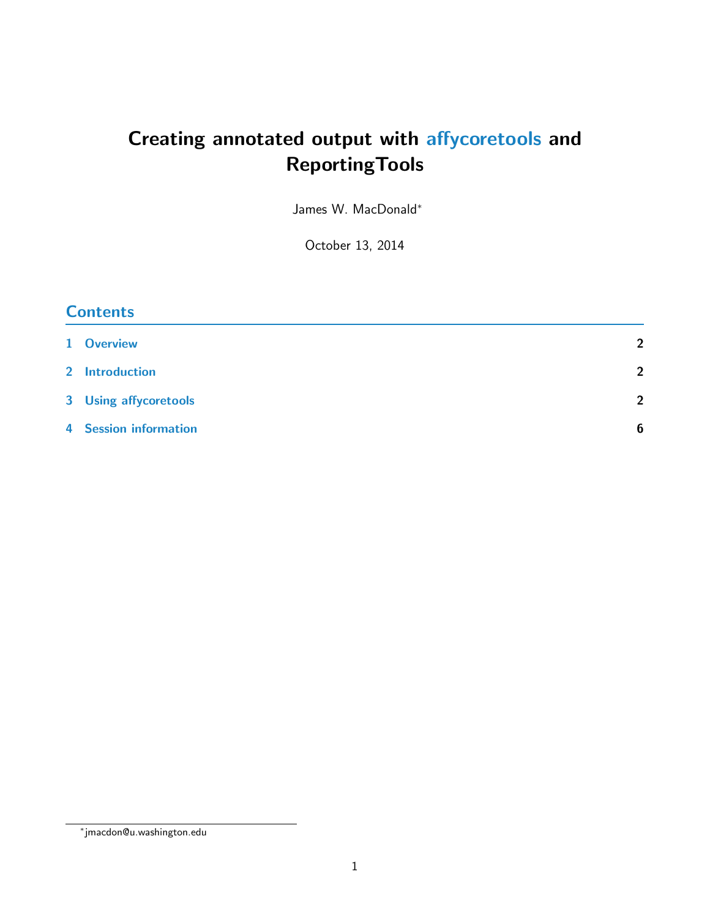# Creating annotated output with [affycoretools](http://bioconductor.org/packages/release/bioc/html/affycoretools.html) and ReportingTools

James W. MacDonald<sup>∗</sup>

October 13, 2014

| <b>Contents</b>              |                 |  |  |  |
|------------------------------|-----------------|--|--|--|
| 1 Overview                   | $\overline{2}$  |  |  |  |
| 2 Introduction               | $\overline{2}$  |  |  |  |
| 3 Using affycoretools        | $\overline{2}$  |  |  |  |
| <b>4</b> Session information | $6\phantom{1}6$ |  |  |  |

<sup>∗</sup> jmacdon@u.washington.edu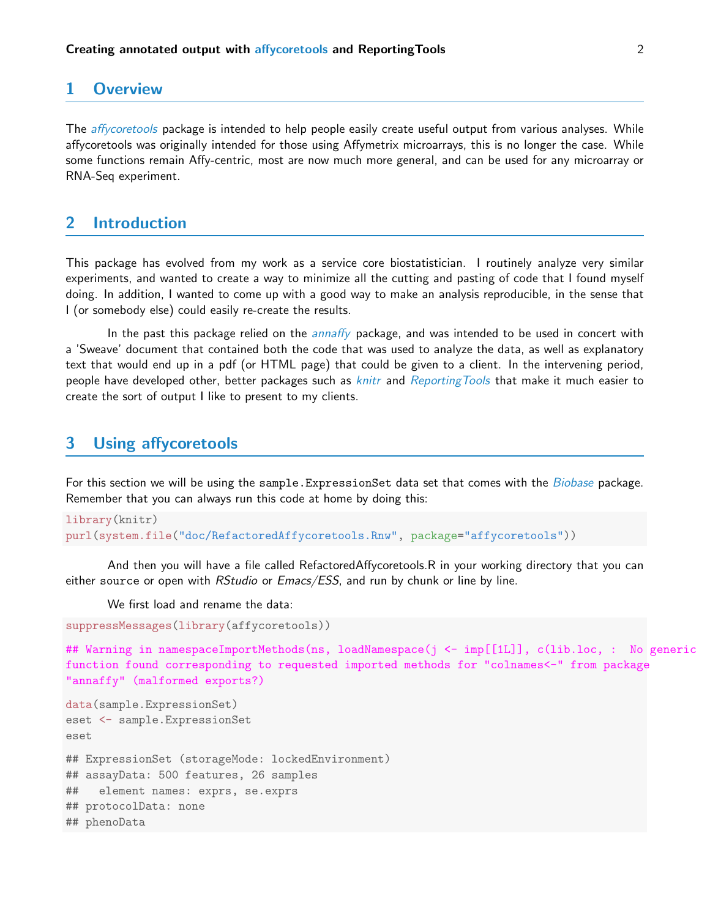#### <span id="page-1-0"></span>1 Overview

The *[affycoretools](http://bioconductor.org/packages/release/bioc/html/affycoretools.html)* package is intended to help people easily create useful output from various analyses. While affycoretools was originally intended for those using Affymetrix microarrays, this is no longer the case. While some functions remain Affy-centric, most are now much more general, and can be used for any microarray or RNA-Seq experiment.

# <span id="page-1-1"></span>2 Introduction

This package has evolved from my work as a service core biostatistician. I routinely analyze very similar experiments, and wanted to create a way to minimize all the cutting and pasting of code that I found myself doing. In addition, I wanted to come up with a good way to make an analysis reproducible, in the sense that I (or somebody else) could easily re-create the results.

In the past this package relied on the *[annaffy](http://bioconductor.org/packages/release/bioc/html/annaffy.html)* package, and was intended to be used in concert with a 'Sweave' document that contained both the code that was used to analyze the data, as well as explanatory text that would end up in a pdf (or HTML page) that could be given to a client. In the intervening period, people have developed other, better packages such as *[knitr](http://cran.fhcrc.org/web/packages/knitr/index.html)* and [ReportingTools](http://bioconductor.org/packages/release/bioc/html/ReportingTools.html) that make it much easier to create the sort of output I like to present to my clients.

### <span id="page-1-2"></span>3 Using affycoretools

For this section we will be using the sample. ExpressionSet data set that comes with the [Biobase](http://bioconductor.org/packages/release/bioc/html/Biobase.html) package. Remember that you can always run this code at home by doing this:

```
library(knitr)
purl(system.file("doc/RefactoredAffycoretools.Rnw", package="affycoretools"))
```
And then you will have a file called RefactoredAffycoretools.R in your working directory that you can either source or open with RStudio or Emacs/ESS, and run by chunk or line by line.

We first load and rename the data:

```
suppressMessages(library(affycoretools))
```
## Warning in namespaceImportMethods(ns, loadNamespace(j <- imp[[1L]], c(lib.loc, : No generic function found corresponding to requested imported methods for "colnames<-" from package "annaffy" (malformed exports?)

```
data(sample.ExpressionSet)
eset <- sample.ExpressionSet
eset
## ExpressionSet (storageMode: lockedEnvironment)
## assayData: 500 features, 26 samples
## element names: exprs, se.exprs
## protocolData: none
## phenoData
```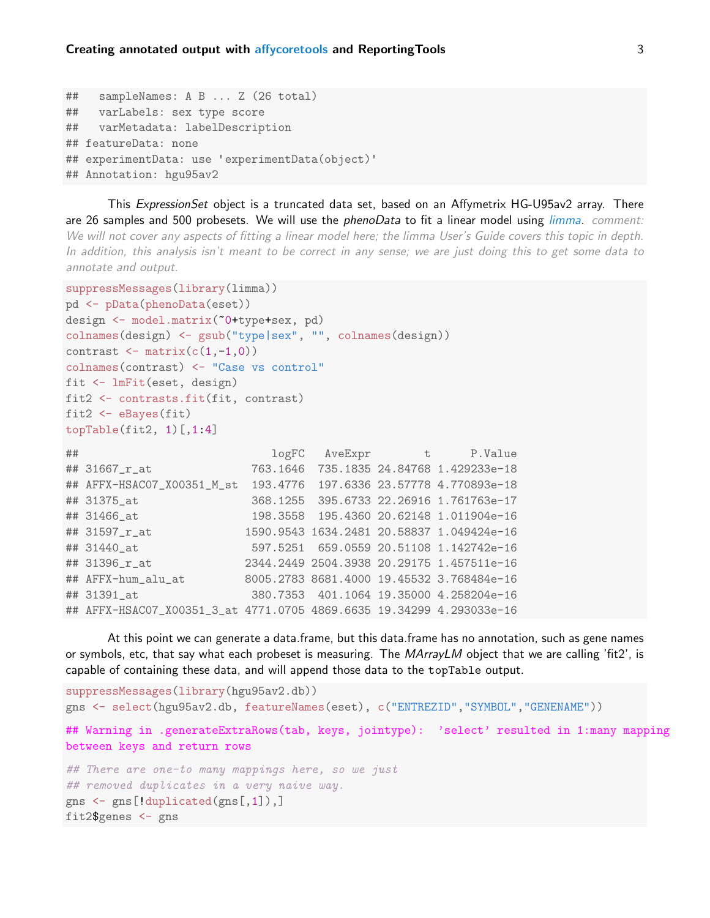```
## sampleNames: A B ... Z (26 total)
## varLabels: sex type score
## varMetadata: labelDescription
## featureData: none
## experimentData: use 'experimentData(object)'
## Annotation: hgu95av2
```
This ExpressionSet object is a truncated data set, based on an Affymetrix HG-U95av2 array. There are 26 samples and 500 probesets. We will use the *phenoData* to fit a linear model using *[limma](http://bioconductor.org/packages/release/bioc/html/limma.html). comment:* We will not cover any aspects of fitting a linear model here; the limma User's Guide covers this topic in depth. In addition, this analysis isn't meant to be correct in any sense; we are just doing this to get some data to annotate and output.

At this point we can generate a data.frame, but this data.frame has no annotation, such as gene names

## Warning in .generateExtraRows(tab, keys, jointype): 'select' resulted in 1:many mapping

or symbols, etc, that say what each probeset is measuring. The MArrayLM object that we are calling 'fit2', is

gns <- select(hgu95av2.db, featureNames(eset), c("ENTREZID","SYMBOL","GENENAME"))

```
suppressMessages(library(limma))
pd <- pData(phenoData(eset))
design <- model.matrix(~0+type+sex, pd)
colnames(design) <- gsub("type|sex", "", colnames(design))
contrast \leq matrix(c(1,-1,0))colnames(contrast) <- "Case vs control"
fit <- lmFit(eset, design)
fit2 <- contrasts.fit(fit, contrast)
fit2 <- eBayes(fit)
topTable(fit2, 1)[,1:4]## logFC AveExpr t P.Value
## 31667_r_at 763.1646 735.1835 24.84768 1.429233e-18
## AFFX-HSAC07_X00351_M_st 193.4776 197.6336 23.57778 4.770893e-18
## 31375_at 368.1255 395.6733 22.26916 1.761763e-17
## 31466_at 198.3558 195.4360 20.62148 1.011904e-16
```
## 31597\_r\_at 1590.9543 1634.2481 20.58837 1.049424e-16 ## 31440\_at 597.5251 659.0559 20.51108 1.142742e-16 ## 31396\_r\_at 2344.2449 2504.3938 20.29175 1.457511e-16 ## AFFX-hum\_alu\_at 8005.2783 8681.4000 19.45532 3.768484e-16 ## 31391\_at 380.7353 401.1064 19.35000 4.258204e-16 ## AFFX-HSAC07\_X00351\_3\_at 4771.0705 4869.6635 19.34299 4.293033e-16

capable of containing these data, and will append those data to the topTable output.

suppressMessages(library(hgu95av2.db))

## There are one-to many mappings here, so we just

## removed duplicates in a very naive way.

between keys and return rows

fit2\$genes <- gns

gns <- gns[!duplicated(gns[,1]),]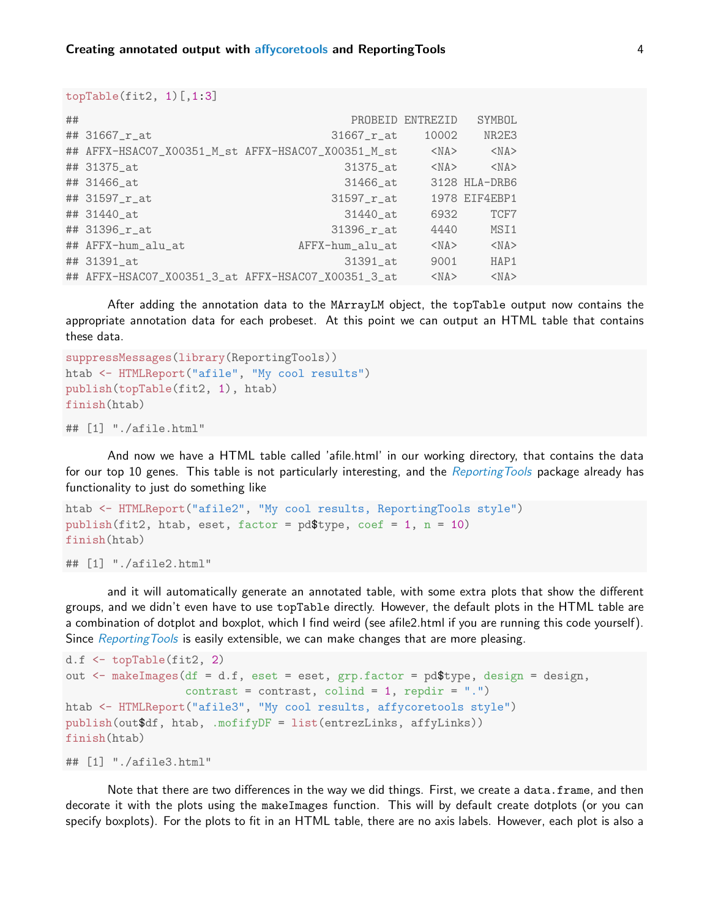```
topTable(fit2, 1)[,1:3]
```

| ## |                    |                                                    | PROBEID ENTREZID | SYMBOL        |
|----|--------------------|----------------------------------------------------|------------------|---------------|
|    | ## 31667_r_at      | $31667$ $r$ at                                     | 10002            | NR2E3         |
|    |                    | ## AFFX-HSACO7_X00351_M_st AFFX-HSACO7_X00351_M_st | $<$ NA $>$       | $<$ NA $>$    |
|    | ## 31375_at        | 31375_at                                           | $<$ NA $>$       | $<$ NA $>$    |
|    | ## 31466_at        | 31466_at                                           |                  | 3128 HLA-DRB6 |
|    | ## 31597_r_at      | $31597$ $r$ at                                     |                  | 1978 EIF4EBP1 |
|    | ## 31440_at        | 31440_at                                           | 6932             | TCF7          |
|    | ## 31396_r_at      | $31396$ $r$ at                                     | 4440             | MSI1          |
|    | ## AFFX-hum_alu_at | AFFX-hum_alu_at                                    | $<$ NA $>$       | $<$ NA $>$    |
|    | ## 31391_at        | 31391_at                                           | 9001             | HAP1          |
|    |                    | ## AFFX-HSAC07_X00351_3_at AFFX-HSAC07_X00351_3_at | $<$ NA $>$       | $<$ NA $>$    |

After adding the annotation data to the MArrayLM object, the topTable output now contains the appropriate annotation data for each probeset. At this point we can output an HTML table that contains these data.

```
suppressMessages(library(ReportingTools))
htab <- HTMLReport("afile", "My cool results")
publish(topTable(fit2, 1), htab)
finish(htab)
```

```
## [1] "./afile.html"
```
And now we have a HTML table called 'afile.html' in our working directory, that contains the data for our top 10 genes. This table is not particularly interesting, and the Reporting Tools package already has functionality to just do something like

```
htab <- HTMLReport("afile2", "My cool results, ReportingTools style")
publish(fit2, htab, eset, factor = pd$type, coef = 1, n = 10)
finish(htab)
```

```
## [1] "./afile2.html"
```
and it will automatically generate an annotated table, with some extra plots that show the different groups, and we didn't even have to use topTable directly. However, the default plots in the HTML table are a combination of dotplot and boxplot, which I find weird (see afile2.html if you are running this code yourself). Since Reporting Tools is easily extensible, we can make changes that are more pleasing.

```
d.f <- topTable(fit2, 2)
out \leq makeImages(df = d.f, eset = eset, grp.factor = pd$type, design = design,
                  contrast = contrast, colind = 1, repdir = ".")
htab <- HTMLReport("afile3", "My cool results, affycoretools style")
publish(out$df, htab, .mofifyDF = list(entrezLinks, affyLinks))
finish(htab)
```

```
## [1] "./afile3.html"
```
Note that there are two differences in the way we did things. First, we create a data.frame, and then decorate it with the plots using the makeImages function. This will by default create dotplots (or you can specify boxplots). For the plots to fit in an HTML table, there are no axis labels. However, each plot is also a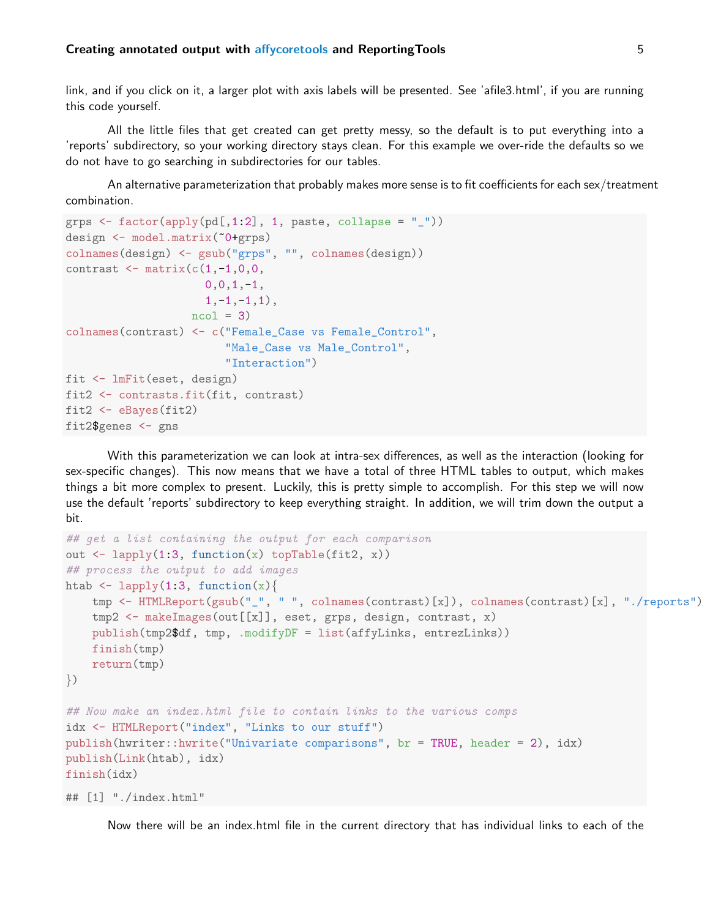#### Creating annotated output with [affycoretools](http://bioconductor.org/packages/release/bioc/html/affycoretools.html) and ReportingTools **5** 5

link, and if you click on it, a larger plot with axis labels will be presented. See 'afile3.html', if you are running this code yourself.

All the little files that get created can get pretty messy, so the default is to put everything into a 'reports' subdirectory, so your working directory stays clean. For this example we over-ride the defaults so we do not have to go searching in subdirectories for our tables.

An alternative parameterization that probably makes more sense is to fit coefficients for each sex/treatment combination.

```
grps \le factor(apply(pd[,1:2], 1, paste, collapse = "_"))
design <- model.matrix(~0+grps)
colnames(design) <- gsub("grps", "", colnames(design))
contrast \leq matrix(c(1,-1,0,0,0, 0, 1, -1,1, -1, -1,1),
                   ncol = 3colnames(contrast) <- c("Female_Case vs Female_Control",
                        "Male_Case vs Male_Control",
                        "Interaction")
fit <- lmFit(eset, design)
fit2 <- contrasts.fit(fit, contrast)
fit2 <- eBayes(fit2)
fit2$genes <- gns
```
With this parameterization we can look at intra-sex differences, as well as the interaction (looking for sex-specific changes). This now means that we have a total of three HTML tables to output, which makes things a bit more complex to present. Luckily, this is pretty simple to accomplish. For this step we will now use the default 'reports' subdirectory to keep everything straight. In addition, we will trim down the output a bit.

```
## get a list containing the output for each comparison
out \leq lapply(1:3, function(x) topTable(fit2, x))
## process the output to add images
htab \leftarrow lapply(1:3, function(x){
    tmp <- HTMLReport(gsub("_", " ", colnames(contrast)[x]), colnames(contrast)[x], "./reports")
    tmp2 <- makeImages(out[[x]], eset, grps, design, contrast, x)
    publish(tmp2$df, tmp, .modifyDF = list(affyLinks, entrezLinks))
    finish(tmp)
    return(tmp)
\}## Now make an index.html file to contain links to the various comps
idx <- HTMLReport("index", "Links to our stuff")
publish(hwriter::hwrite("Univariate comparisons", br = TRUE, header = 2), idx)
publish(Link(htab), idx)
finish(idx)
## [1] "./index.html"
```
Now there will be an index.html file in the current directory that has individual links to each of the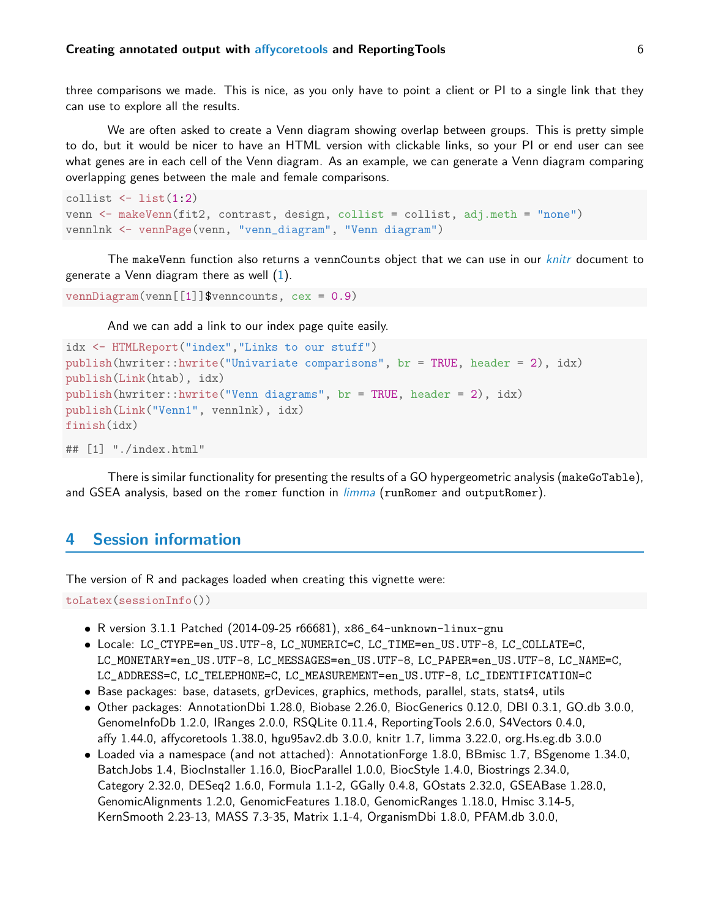three comparisons we made. This is nice, as you only have to point a client or PI to a single link that they can use to explore all the results.

We are often asked to create a Venn diagram showing overlap between groups. This is pretty simple to do, but it would be nicer to have an HTML version with clickable links, so your PI or end user can see what genes are in each cell of the Venn diagram. As an example, we can generate a Venn diagram comparing overlapping genes between the male and female comparisons.

```
collist \leftarrow list(1:2)venn <- makeVenn(fit2, contrast, design, collist = collist, adj.meth = "none")
vennlnk <- vennPage(venn, "venn_diagram", "Venn diagram")
```
The makeVenn function also returns a vennCounts object that we can use in our *[knitr](http://cran.fhcrc.org/web/packages/knitr/index.html)* document to generate a Venn diagram there as well  $(1)$ .

```
vennDiagram(venn[[1]]$venncounts, cex = 0.9)
```
And we can add a link to our index page quite easily.

```
idx <- HTMLReport("index","Links to our stuff")
publish(hwriter::hwrite("Univariate comparisons", br = TRUE, header = 2), idx)
publish(Link(htab), idx)
publish(hwriter::hwrite("Venn diagrams", br = TRUE, header = 2), idx)
publish(Link("Venn1", vennlnk), idx)
finish(idx)
```

```
## [1] "./index.html"
```
There is similar functionality for presenting the results of a GO hypergeometric analysis (makeGoTable), and GSEA analysis, based on the romer function in *[limma](http://bioconductor.org/packages/release/bioc/html/limma.html)* (runRomer and outputRomer).

## <span id="page-5-0"></span>4 Session information

The version of R and packages loaded when creating this vignette were:

toLatex(sessionInfo())

- R version 3.1.1 Patched (2014-09-25 r66681), x86\_64-unknown-linux-gnu
- Locale: LC\_CTYPE=en\_US.UTF-8, LC\_NUMERIC=C, LC\_TIME=en\_US.UTF-8, LC\_COLLATE=C, LC\_MONETARY=en\_US.UTF-8, LC\_MESSAGES=en\_US.UTF-8, LC\_PAPER=en\_US.UTF-8, LC\_NAME=C, LC\_ADDRESS=C, LC\_TELEPHONE=C, LC\_MEASUREMENT=en\_US.UTF-8, LC\_IDENTIFICATION=C
- Base packages: base, datasets, grDevices, graphics, methods, parallel, stats, stats4, utils
- Other packages: AnnotationDbi 1.28.0, Biobase 2.26.0, BiocGenerics 0.12.0, DBI 0.3.1, GO.db 3.0.0, GenomeInfoDb 1.2.0, IRanges 2.0.0, RSQLite 0.11.4, ReportingTools 2.6.0, S4Vectors 0.4.0, affy 1.44.0, affycoretools 1.38.0, hgu95av2.db 3.0.0, knitr 1.7, limma 3.22.0, org.Hs.eg.db 3.0.0
- Loaded via a namespace (and not attached): AnnotationForge 1.8.0, BBmisc 1.7, BSgenome 1.34.0, BatchJobs 1.4, BiocInstaller 1.16.0, BiocParallel 1.0.0, BiocStyle 1.4.0, Biostrings 2.34.0, Category 2.32.0, DESeq2 1.6.0, Formula 1.1-2, GGally 0.4.8, GOstats 2.32.0, GSEABase 1.28.0, GenomicAlignments 1.2.0, GenomicFeatures 1.18.0, GenomicRanges 1.18.0, Hmisc 3.14-5, KernSmooth 2.23-13, MASS 7.3-35, Matrix 1.1-4, OrganismDbi 1.8.0, PFAM.db 3.0.0,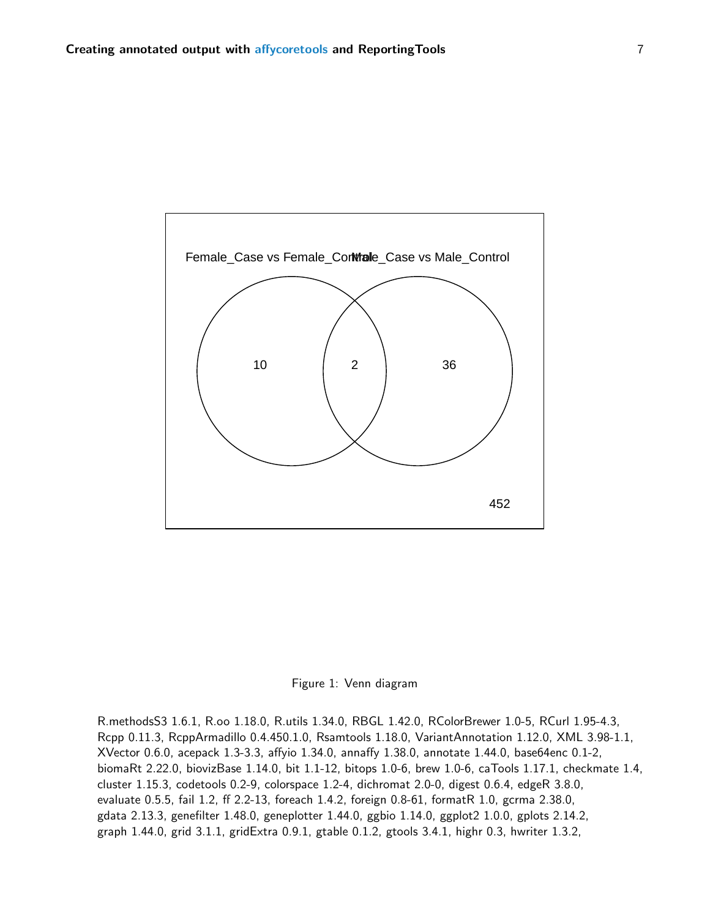

<span id="page-6-0"></span>

R.methodsS3 1.6.1, R.oo 1.18.0, R.utils 1.34.0, RBGL 1.42.0, RColorBrewer 1.0-5, RCurl 1.95-4.3, Rcpp 0.11.3, RcppArmadillo 0.4.450.1.0, Rsamtools 1.18.0, VariantAnnotation 1.12.0, XML 3.98-1.1, XVector 0.6.0, acepack 1.3-3.3, affyio 1.34.0, annaffy 1.38.0, annotate 1.44.0, base64enc 0.1-2, biomaRt 2.22.0, biovizBase 1.14.0, bit 1.1-12, bitops 1.0-6, brew 1.0-6, caTools 1.17.1, checkmate 1.4, cluster 1.15.3, codetools 0.2-9, colorspace 1.2-4, dichromat 2.0-0, digest 0.6.4, edgeR 3.8.0, evaluate 0.5.5, fail 1.2, ff 2.2-13, foreach 1.4.2, foreign 0.8-61, formatR 1.0, gcrma 2.38.0, gdata 2.13.3, genefilter 1.48.0, geneplotter 1.44.0, ggbio 1.14.0, ggplot2 1.0.0, gplots 2.14.2, graph 1.44.0, grid 3.1.1, gridExtra 0.9.1, gtable 0.1.2, gtools 3.4.1, highr 0.3, hwriter 1.3.2,